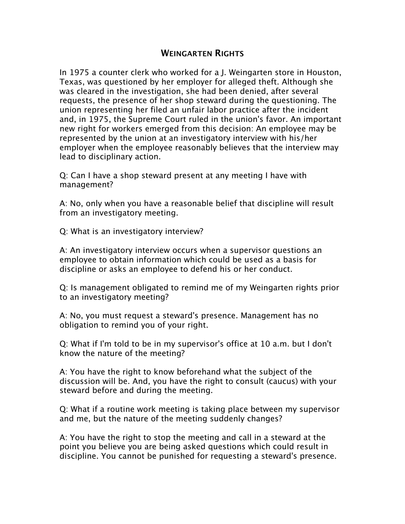## **WEINGARTEN RIGHTS**

In 1975 a counter clerk who worked for a J. Weingarten store in Houston, Texas, was questioned by her employer for alleged theft. Although she was cleared in the investigation, she had been denied, after several requests, the presence of her shop steward during the questioning. The union representing her filed an unfair labor practice after the incident and, in 1975, the Supreme Court ruled in the union's favor. An important new right for workers emerged from this decision: An employee may be represented by the union at an investigatory interview with his/her employer when the employee reasonably believes that the interview may lead to disciplinary action.

Q: Can I have a shop steward present at any meeting I have with management?

A: No, only when you have a reasonable belief that discipline will result from an investigatory meeting.

Q: What is an investigatory interview?

A: An investigatory interview occurs when a supervisor questions an employee to obtain information which could be used as a basis for discipline or asks an employee to defend his or her conduct.

Q: Is management obligated to remind me of my Weingarten rights prior to an investigatory meeting?

A: No, you must request a steward's presence. Management has no obligation to remind you of your right.

Q: What if I'm told to be in my supervisor's office at 10 a.m. but I don't know the nature of the meeting?

A: You have the right to know beforehand what the subject of the discussion will be. And, you have the right to consult (caucus) with your steward before and during the meeting.

Q: What if a routine work meeting is taking place between my supervisor and me, but the nature of the meeting suddenly changes?

A: You have the right to stop the meeting and call in a steward at the point you believe you are being asked questions which could result in discipline. You cannot be punished for requesting a steward's presence.